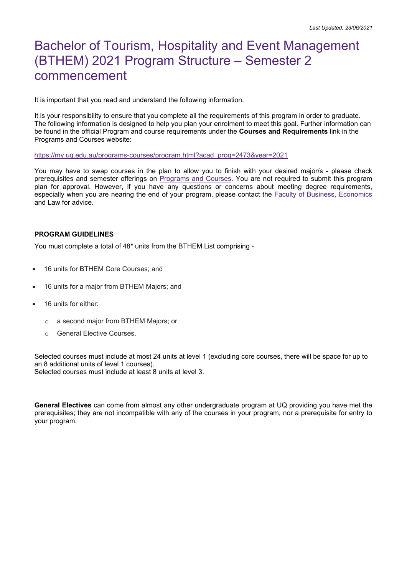# Bachelor of Tourism, Hospitality and Event Management (BTHEM) 2021 Program Structure – Semester 2 commencement

It is important that you read and understand the following information.

It is your responsibility to ensure that you complete all the requirements of this program in order to graduate. The following information is designed to help you plan your enrolment to meet this goal. Further information can be found in the official Program and course requirements under the **Courses and Requirements** link in the Programs and Courses website:

#### [https://my.uq.edu.au/programs-courses/program.html?acad\\_prog=2473&year=2021](https://my.uq.edu.au/programs-courses/program.html?acad_prog=2473&year=2021)

You may have to swap courses in the plan to allow you to finish with your desired major/s - please check prerequisites and semester offerings on [Programs and Courses.](https://my.uq.edu.au/programs-courses/) You are not required to submit this program plan for approval. However, if you have any questions or concerns about meeting degree requirements, especially when you are nearing the end of your program, please contact the **Faculty of Business**, Economics and Law for advice.

#### **PROGRAM GUIDELINES**

You must complete a total of 48\* units from the BTHEM List comprising -

- 16 units for BTHEM Core Courses; and
- 16 units for a major from BTHEM Majors; and
- 16 units for either:
	- o a second major from BTHEM Majors; or
	- o General Elective Courses.

Selected courses must include at most 24 units at level 1 (excluding core courses, there will be space for up to an 8 additional units of level 1 courses).

Selected courses must include at least 8 units at level 3.

**General Electives** can come from almost any other undergraduate program at UQ providing you have met the prerequisites; they are not incompatible with any of the courses in your program, nor a prerequisite for entry to your program.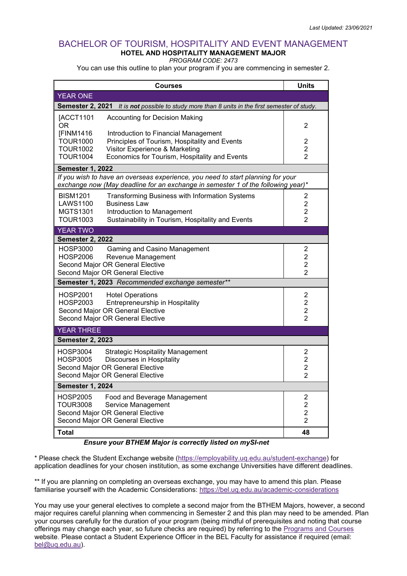## BACHELOR OF TOURISM, HOSPITALITY AND EVENT MANAGEMENT **HOTEL AND HOSPITALITY MANAGEMENT MAJOR**

*PROGRAM CODE: 2473*

You can use this outline to plan your program if you are commencing in semester 2.

| Courses                                                                                                                                                             | <b>Units</b>                     |  |  |
|---------------------------------------------------------------------------------------------------------------------------------------------------------------------|----------------------------------|--|--|
| <b>YEAR ONE</b>                                                                                                                                                     |                                  |  |  |
| <b>Semester 2, 2021</b><br>It is not possible to study more than 8 units in the first semester of study.                                                            |                                  |  |  |
| [ACCT1101<br>Accounting for Decision Making<br>OR.                                                                                                                  | 2                                |  |  |
| [FINM1416<br>Introduction to Financial Management<br><b>TOUR1000</b><br>Principles of Tourism, Hospitality and Events                                               | 2                                |  |  |
| <b>TOUR1002</b><br>Visitor Experience & Marketing                                                                                                                   | $\overline{c}$                   |  |  |
| <b>TOUR1004</b><br>Economics for Tourism, Hospitality and Events                                                                                                    | $\overline{2}$                   |  |  |
| <b>Semester 1, 2022</b>                                                                                                                                             |                                  |  |  |
| If you wish to have an overseas experience, you need to start planning for your<br>exchange now (May deadline for an exchange in semester 1 of the following year)* |                                  |  |  |
| <b>BISM1201</b><br>Transforming Business with Information Systems<br><b>LAWS1100</b><br><b>Business Law</b>                                                         | 2<br>$\overline{2}$              |  |  |
| <b>MGTS1301</b><br>Introduction to Management                                                                                                                       | $\overline{2}$                   |  |  |
| <b>TOUR1003</b><br>Sustainability in Tourism, Hospitality and Events                                                                                                | $\overline{2}$                   |  |  |
| <b>YEAR TWO</b>                                                                                                                                                     |                                  |  |  |
| <b>Semester 2, 2022</b>                                                                                                                                             |                                  |  |  |
| <b>HOSP3000</b><br>Gaming and Casino Management<br><b>HOSP2006</b>                                                                                                  | $\overline{2}$<br>$\overline{2}$ |  |  |
| Revenue Management<br>Second Major OR General Elective                                                                                                              | $\overline{2}$                   |  |  |
| Second Major OR General Elective                                                                                                                                    | $\overline{2}$                   |  |  |
| Semester 1, 2023 Recommended exchange semester**                                                                                                                    |                                  |  |  |
| <b>HOSP2001</b><br><b>Hotel Operations</b>                                                                                                                          | $\overline{2}$                   |  |  |
| <b>HOSP2003</b><br>Entrepreneurship in Hospitality                                                                                                                  | $\overline{c}$                   |  |  |
| Second Major OR General Elective<br>Second Major OR General Elective                                                                                                | $\overline{c}$<br>$\overline{2}$ |  |  |
| <b>YEAR THREE</b>                                                                                                                                                   |                                  |  |  |
| <b>Semester 2, 2023</b>                                                                                                                                             |                                  |  |  |
|                                                                                                                                                                     |                                  |  |  |
| <b>HOSP3004</b><br><b>Strategic Hospitality Management</b><br><b>Discourses in Hospitality</b><br><b>HOSP3005</b>                                                   | $\overline{2}$<br>$\overline{2}$ |  |  |
| Second Major OR General Elective                                                                                                                                    | $\overline{2}$                   |  |  |
| Second Major OR General Elective                                                                                                                                    | $\overline{2}$                   |  |  |
| <b>Semester 1, 2024</b>                                                                                                                                             |                                  |  |  |
| <b>HOSP2005</b><br>Food and Beverage Management                                                                                                                     | $\overline{\mathbf{c}}$          |  |  |
| <b>TOUR3008</b><br>Service Management<br>Second Major OR General Elective                                                                                           | $\overline{c}$<br>$\overline{2}$ |  |  |
| Second Major OR General Elective                                                                                                                                    | $\overline{2}$                   |  |  |
| <b>Total</b>                                                                                                                                                        | 48                               |  |  |

### *Ensure your BTHEM Major is correctly listed on mySI-net*

\* Please check the Student Exchange website [\(https://employability.uq.edu.au/student-exchange\)](https://employability.uq.edu.au/student-exchange) for application deadlines for your chosen institution, as some exchange Universities have different deadlines.

\*\* If you are planning on completing an overseas exchange, you may have to amend this plan. Please familiarise yourself with the Academic Considerations:<https://bel.uq.edu.au/academic-considerations>

You may use your general electives to complete a second major from the BTHEM Majors, however, a second major requires careful planning when commencing in Semester 2 and this plan may need to be amended. Plan your courses carefully for the duration of your program (being mindful of prerequisites and noting that course offerings may change each year, so future checks are required) by referring to the [Programs and Courses](https://my.uq.edu.au/programs-courses/) website. Please contact a Student Experience Officer in the BEL Faculty for assistance if required (email: [bel@uq.edu.au\)](mailto:bel@uq.edu.au).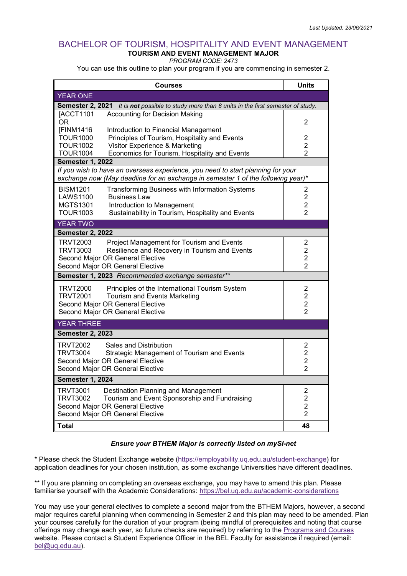## BACHELOR OF TOURISM, HOSPITALITY AND EVENT MANAGEMENT **TOURISM AND EVENT MANAGEMENT MAJOR**

*PROGRAM CODE: 2473*

You can use this outline to plan your program if you are commencing in semester 2.

| <b>Courses</b>                                                                                                                                                      |  | <b>Units</b>   |  |
|---------------------------------------------------------------------------------------------------------------------------------------------------------------------|--|----------------|--|
| <b>YEAR ONE</b>                                                                                                                                                     |  |                |  |
| Semester 2, 2021 It is not possible to study more than 8 units in the first semester of study.                                                                      |  |                |  |
| <b>Accounting for Decision Making</b><br>[ACCT1101                                                                                                                  |  |                |  |
| OR.<br>[FINM1416<br>Introduction to Financial Management                                                                                                            |  | $\overline{c}$ |  |
| <b>TOUR1000</b><br>Principles of Tourism, Hospitality and Events                                                                                                    |  | 2              |  |
| <b>TOUR1002</b><br>Visitor Experience & Marketing                                                                                                                   |  | $\overline{2}$ |  |
| Economics for Tourism, Hospitality and Events<br><b>TOUR1004</b>                                                                                                    |  | $\overline{2}$ |  |
| <b>Semester 1, 2022</b>                                                                                                                                             |  |                |  |
| If you wish to have an overseas experience, you need to start planning for your<br>exchange now (May deadline for an exchange in semester 1 of the following year)* |  |                |  |
| <b>BISM1201</b><br><b>Transforming Business with Information Systems</b>                                                                                            |  | $\overline{2}$ |  |
| <b>LAWS1100</b><br><b>Business Law</b>                                                                                                                              |  | $\overline{c}$ |  |
| <b>MGTS1301</b><br>Introduction to Management                                                                                                                       |  | $\overline{2}$ |  |
| <b>TOUR1003</b><br>Sustainability in Tourism, Hospitality and Events                                                                                                |  | $\overline{2}$ |  |
| <b>YEAR TWO</b>                                                                                                                                                     |  |                |  |
| <b>Semester 2, 2022</b>                                                                                                                                             |  |                |  |
| TRVT2003<br>Project Management for Tourism and Events                                                                                                               |  | $\overline{c}$ |  |
| <b>TRVT3003</b><br>Resilience and Recovery in Tourism and Events                                                                                                    |  | $\overline{2}$ |  |
| Second Major OR General Elective                                                                                                                                    |  | $\overline{2}$ |  |
| Second Major OR General Elective                                                                                                                                    |  | $\overline{2}$ |  |
| Semester 1, 2023 Recommended exchange semester**                                                                                                                    |  |                |  |
| TRVT2000<br>Principles of the International Tourism System                                                                                                          |  | $\overline{c}$ |  |
| <b>TRVT2001</b><br><b>Tourism and Events Marketing</b>                                                                                                              |  | $\overline{2}$ |  |
| Second Major OR General Elective                                                                                                                                    |  | $\overline{c}$ |  |
| Second Major OR General Elective                                                                                                                                    |  | $\overline{2}$ |  |
| <b>YEAR THREE</b>                                                                                                                                                   |  |                |  |
| <b>Semester 2, 2023</b>                                                                                                                                             |  |                |  |
| <b>TRVT2002</b><br>Sales and Distribution                                                                                                                           |  | $\overline{2}$ |  |
| <b>TRVT3004</b><br>Strategic Management of Tourism and Events                                                                                                       |  | $\overline{c}$ |  |
| Second Major OR General Elective                                                                                                                                    |  | $\overline{2}$ |  |
| Second Major OR General Elective                                                                                                                                    |  | $\overline{2}$ |  |
| <b>Semester 1, 2024</b>                                                                                                                                             |  |                |  |
| TRVT3001<br>Destination Planning and Management                                                                                                                     |  | $\overline{2}$ |  |
| <b>TRVT3002</b><br>Tourism and Event Sponsorship and Fundraising                                                                                                    |  | $\overline{c}$ |  |
| Second Major OR General Elective                                                                                                                                    |  | $\overline{2}$ |  |
| Second Major OR General Elective                                                                                                                                    |  | 2              |  |
| Total                                                                                                                                                               |  | 48             |  |

#### *Ensure your BTHEM Major is correctly listed on mySI-net*

\* Please check the Student Exchange website [\(https://employability.uq.edu.au/student-exchange\)](https://employability.uq.edu.au/student-exchange) for application deadlines for your chosen institution, as some exchange Universities have different deadlines.

\*\* If you are planning on completing an overseas exchange, you may have to amend this plan. Please familiarise yourself with the Academic Considerations:<https://bel.uq.edu.au/academic-considerations>

You may use your general electives to complete a second major from the BTHEM Majors, however, a second major requires careful planning when commencing in Semester 2 and this plan may need to be amended. Plan your courses carefully for the duration of your program (being mindful of prerequisites and noting that course offerings may change each year, so future checks are required) by referring to the [Programs and Courses](https://my.uq.edu.au/programs-courses/) website. Please contact a Student Experience Officer in the BEL Faculty for assistance if required (email: [bel@uq.edu.au\)](mailto:bel@uq.edu.au).